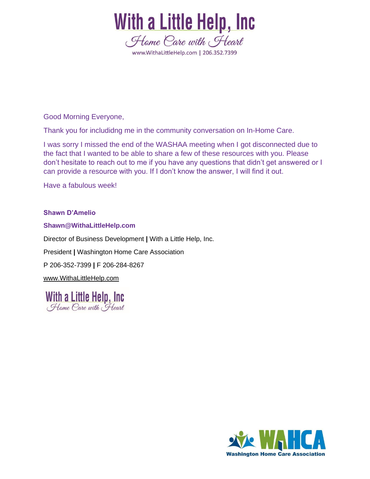

Good Morning Everyone,

Thank you for includidng me in the community conversation on In-Home Care.

I was sorry I missed the end of the WASHAA meeting when I got disconnected due to the fact that I wanted to be able to share a few of these resources with you. Please don't hesitate to reach out to me if you have any questions that didn't get answered or I can provide a resource with you. If I don't know the answer, I will find it out.

Have a fabulous week!

#### **Shawn D'Amelio**

#### **Shawn@WithaLittleHelp.com**

Director of Business Development **|** With a Little Help, Inc. President **|** Washington Home Care Association P 206-352-7399 **|** F 206-284-8267 [www.WithaLittleHelp.com](http://www.withalittlehelp.com/)

With a Little Help, Inc. Home Care with Heart

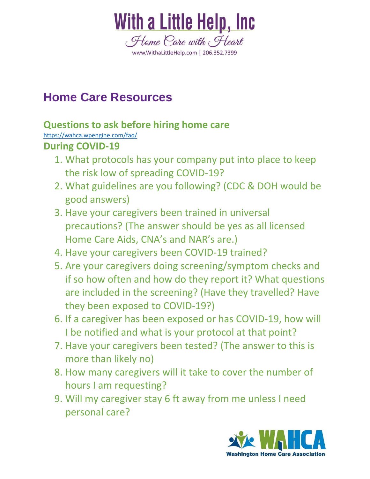

# **Home Care Resources**

## **Questions to ask before hiring home care**

<https://wahca.wpengine.com/faq/>

## **During COVID-19**

- 1. What protocols has your company put into place to keep the risk low of spreading COVID-19?
- 2. What guidelines are you following? (CDC & DOH would be good answers)
- 3. Have your caregivers been trained in universal precautions? (The answer should be yes as all licensed Home Care Aids, CNA's and NAR's are.)
- 4. Have your caregivers been COVID-19 trained?
- 5. Are your caregivers doing screening/symptom checks and if so how often and how do they report it? What questions are included in the screening? (Have they travelled? Have they been exposed to COVID-19?)
- 6. If a caregiver has been exposed or has COVID-19, how will I be notified and what is your protocol at that point?
- 7. Have your caregivers been tested? (The answer to this is more than likely no)
- 8. How many caregivers will it take to cover the number of hours I am requesting?
- 9. Will my caregiver stay 6 ft away from me unless I need personal care?

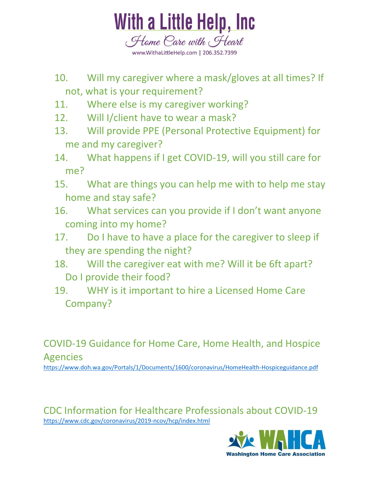

- 10. Will my caregiver where a mask/gloves at all times? If not, what is your requirement?
- 11. Where else is my caregiver working?
- 12. Will I/client have to wear a mask?
- 13. Will provide PPE (Personal Protective Equipment) for me and my caregiver?
- 14. What happens if I get COVID-19, will you still care for me?
- 15. What are things you can help me with to help me stay home and stay safe?
- 16. What services can you provide if I don't want anyone coming into my home?
- 17. Do I have to have a place for the caregiver to sleep if they are spending the night?
- 18. Will the caregiver eat with me? Will it be 6ft apart? Do I provide their food?
- 19. WHY is it important to hire a Licensed Home Care Company?

COVID-19 Guidance for Home Care, Home Health, and Hospice Agencies

<https://www.doh.wa.gov/Portals/1/Documents/1600/coronavirus/HomeHealth-Hospiceguidance.pdf>

CDC Information for Healthcare Professionals about COVID-19 <https://www.cdc.gov/coronavirus/2019-ncov/hcp/index.html>

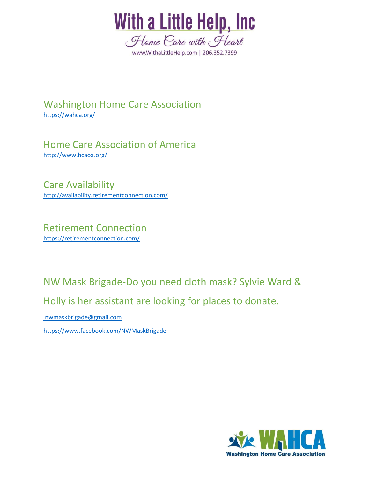

Washington Home Care Association <https://wahca.org/>

Home Care Association of America <http://www.hcaoa.org/>

Care Availability <http://availability.retirementconnection.com/>

Retirement Connection <https://retirementconnection.com/>

NW Mask Brigade-Do you need cloth mask? Sylvie Ward & Holly is her assistant are looking for places to donate.

[nwmaskbrigade@gmail.com](mailto:nwmaskbrigade@gmail.com)

<https://www.facebook.com/NWMaskBrigade>

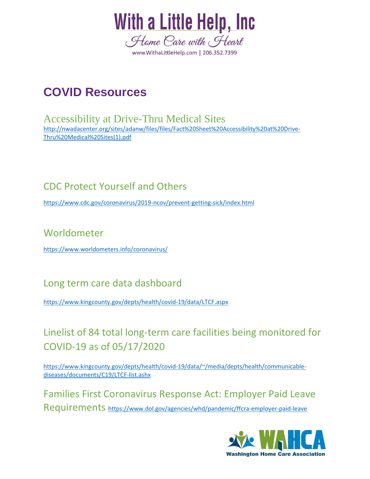

# **COVID Resources**

Accessibility at Drive-Thru Medical Sites [http://nwadacenter.org/sites/adanw/files/files/Fact%20Sheet%20Accessibility%20at%20Drive-](http://nwadacenter.org/sites/adanw/files/files/Fact%20Sheet%20Accessibility%20at%20Drive-Thru%20Medical%20Sites(1).pdf)[Thru%20Medical%20Sites\(1\).pdf](http://nwadacenter.org/sites/adanw/files/files/Fact%20Sheet%20Accessibility%20at%20Drive-Thru%20Medical%20Sites(1).pdf)

### CDC Protect Yourself and Others

<https://www.cdc.gov/coronavirus/2019-ncov/prevent-getting-sick/index.html>

### Worldometer

<https://www.worldometers.info/coronavirus/>

#### Long term care data dashboard

<https://www.kingcounty.gov/depts/health/covid-19/data/LTCF.aspx>

# Linelist of 84 total long-term care facilities being monitored for COVID-19 as of 05/17/2020

https://www.kingcounty.gov/depts/health/covid-19/data/~/media/depts/health/communicablediseases/documents/C19/LTCF-list.ashx

Families First Coronavirus Response Act: Employer Paid Leave Requirements <https://www.dol.gov/agencies/whd/pandemic/ffcra-employer-paid-leave>

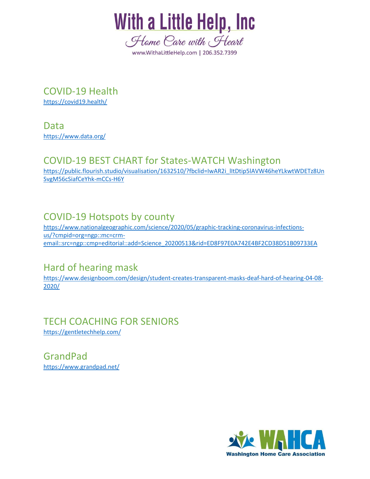

COVID-19 Health <https://covid19.health/>

Data <https://www.data.org/>

#### COVID-19 BEST CHART for States-WATCH Washington

[https://public.flourish.studio/visualisation/1632510/?fbclid=IwAR2i\\_lItDtip5lAVW46heYLkwtWDETz8Un](https://public.flourish.studio/visualisation/1632510/?fbclid=IwAR2i_lItDtip5lAVW46heYLkwtWDETz8UnSvgM56cSiafCeYhk-mCCs-H6Y) [SvgM56cSiafCeYhk-mCCs-H6Y](https://public.flourish.studio/visualisation/1632510/?fbclid=IwAR2i_lItDtip5lAVW46heYLkwtWDETz8UnSvgM56cSiafCeYhk-mCCs-H6Y)

## COVID-19 Hotspots by county

[https://www.nationalgeographic.com/science/2020/05/graphic-tracking-coronavirus-infections](https://www.nationalgeographic.com/science/2020/05/graphic-tracking-coronavirus-infections-us/?cmpid=org=ngp::mc=crm-email::src=ngp::cmp=editorial::add=Science_20200513&rid=ED8F97E0A742E4BF2CD38D51B09733EA)[us/?cmpid=org=ngp::mc=crm](https://www.nationalgeographic.com/science/2020/05/graphic-tracking-coronavirus-infections-us/?cmpid=org=ngp::mc=crm-email::src=ngp::cmp=editorial::add=Science_20200513&rid=ED8F97E0A742E4BF2CD38D51B09733EA)[email::src=ngp::cmp=editorial::add=Science\\_20200513&rid=ED8F97E0A742E4BF2CD38D51B09733EA](https://www.nationalgeographic.com/science/2020/05/graphic-tracking-coronavirus-infections-us/?cmpid=org=ngp::mc=crm-email::src=ngp::cmp=editorial::add=Science_20200513&rid=ED8F97E0A742E4BF2CD38D51B09733EA)

#### Hard of hearing mask

[https://www.designboom.com/design/student-creates-transparent-masks-deaf-hard-of-hearing-04-08-](https://www.designboom.com/design/student-creates-transparent-masks-deaf-hard-of-hearing-04-08-2020/) [2020/](https://www.designboom.com/design/student-creates-transparent-masks-deaf-hard-of-hearing-04-08-2020/)

#### TECH COACHING FOR SENIORS <https://gentletechhelp.com/>

GrandPad <https://www.grandpad.net/>

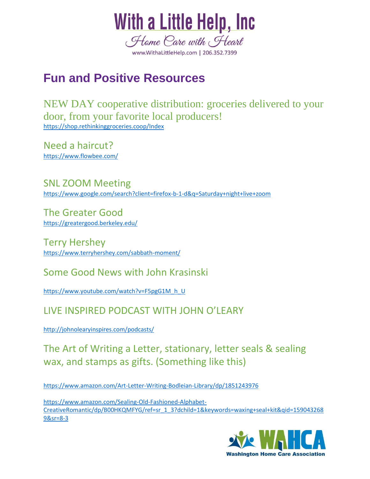

# **Fun and Positive Resources**

NEW DAY cooperative distribution: groceries delivered to your door, from your favorite local producers! https://shop.rethinkinggroceries.coop/Index

Need a haircut? <https://www.flowbee.com/>

SNL ZOOM Meeting https://www.google.com/search?client=firefox-b-1-d&q=Saturday+night+live+zoom

The Greater Good <https://greatergood.berkeley.edu/>

Terry Hershey <https://www.terryhershey.com/sabbath-moment/>

#### Some Good News with John Krasinski

[https://www.youtube.com/watch?v=F5pgG1M\\_h\\_U](https://www.youtube.com/watch?v=F5pgG1M_h_U)

### LIVE INSPIRED PODCAST WITH JOHN O'LEARY

<http://johnolearyinspires.com/podcasts/>

The Art of Writing a Letter, stationary, letter seals & sealing wax, and stamps as gifts. (Something like this)

<https://www.amazon.com/Art-Letter-Writing-Bodleian-Library/dp/1851243976>

[https://www.amazon.com/Sealing-Old-Fashioned-Alphabet-](https://www.amazon.com/Sealing-Old-Fashioned-Alphabet-CreativeRomantic/dp/B00HKQMFYG/ref=sr_1_3?dchild=1&keywords=waxing+seal+kit&qid=1590432689&sr=8-3)[CreativeRomantic/dp/B00HKQMFYG/ref=sr\\_1\\_3?dchild=1&keywords=waxing+seal+kit&qid=159043268](https://www.amazon.com/Sealing-Old-Fashioned-Alphabet-CreativeRomantic/dp/B00HKQMFYG/ref=sr_1_3?dchild=1&keywords=waxing+seal+kit&qid=1590432689&sr=8-3) [9&sr=8-3](https://www.amazon.com/Sealing-Old-Fashioned-Alphabet-CreativeRomantic/dp/B00HKQMFYG/ref=sr_1_3?dchild=1&keywords=waxing+seal+kit&qid=1590432689&sr=8-3)

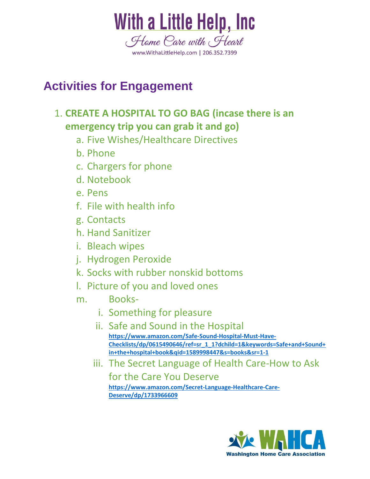

# **Activities for Engagement**

## 1. **CREATE A HOSPITAL TO GO BAG (incase there is an emergency trip you can grab it and go)**

- a. Five Wishes/Healthcare Directives
- b. Phone
- c. Chargers for phone
- d. Notebook
- e. Pens
- f. File with health info
- g. Contacts
- h. Hand Sanitizer
- i. Bleach wipes
- j. Hydrogen Peroxide
- k. Socks with rubber nonskid bottoms
- l. Picture of you and loved ones
- m. Books
	- i. Something for pleasure
	- ii. Safe and Sound in the Hospital **https://www.amazon.com/Safe-Sound-Hospital-Must-Have-Checklists/dp/0615490646/ref=sr\_1\_1?dchild=1&keywords=Safe+and+Sound+ in+the+hospital+book&qid=1589998447&s=books&sr=1-1**
	- iii. The Secret Language of Health Care-How to Ask

for the Care You Deserve

**https://www.amazon.com/Secret-Language-Healthcare-Care-Deserve/dp/1733966609**

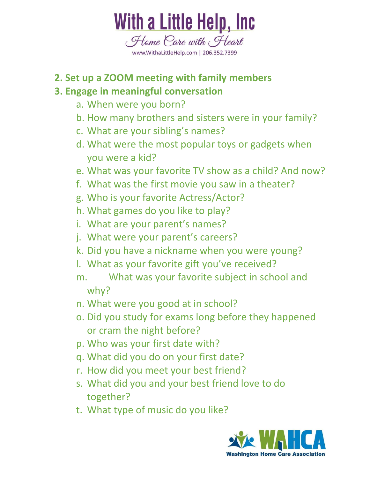

# **2. Set up a ZOOM meeting with family members**

# **3. Engage in meaningful conversation**

- a. When were you born?
- b. How many brothers and sisters were in your family?
- c. What are your sibling's names?
- d. What were the most popular toys or gadgets when you were a kid?
- e. What was your favorite TV show as a child? And now?
- f. What was the first movie you saw in a theater?
- g. Who is your favorite Actress/Actor?
- h. What games do you like to play?
- i. What are your parent's names?
- j. What were your parent's careers?
- k. Did you have a nickname when you were young?
- l. What as your favorite gift you've received?
- m. What was your favorite subject in school and why?
- n. What were you good at in school?
- o. Did you study for exams long before they happened or cram the night before?
- p. Who was your first date with?
- q. What did you do on your first date?
- r. How did you meet your best friend?
- s. What did you and your best friend love to do together?
- t. What type of music do you like?

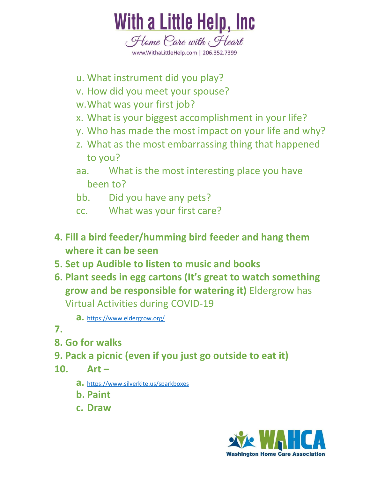

- u. What instrument did you play?
- v. How did you meet your spouse?
- w.What was your first job?
- x. What is your biggest accomplishment in your life?
- y. Who has made the most impact on your life and why?
- z. What as the most embarrassing thing that happened to you?
- aa. What is the most interesting place you have been to?
- bb. Did you have any pets?
- cc. What was your first care?
- **4. Fill a bird feeder/humming bird feeder and hang them where it can be seen**
- **5. Set up Audible to listen to music and books**
- **6. Plant seeds in egg cartons (It's great to watch something grow and be responsible for watering it)** Eldergrow has Virtual Activities during COVID-19

**a.** https://www.eldergrow.org/

- **7.**
- **8. Go for walks**
- **9. Pack a picnic (even if you just go outside to eat it)**
- **10. Art –**
	- **a.** https://www.silverkite.us/sparkboxes
	- **b. Paint**
	- **c. Draw**